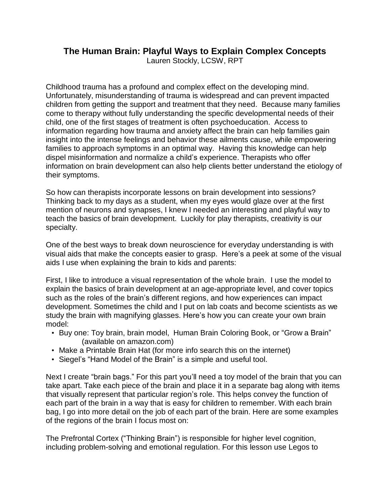## **The Human Brain: Playful Ways to Explain Complex Concepts**

Lauren Stockly, LCSW, RPT

Childhood trauma has a profound and complex effect on the developing mind. Unfortunately, misunderstanding of trauma is widespread and can prevent impacted children from getting the support and treatment that they need. Because many families come to therapy without fully understanding the specific developmental needs of their child, one of the first stages of treatment is often psychoeducation. Access to information regarding how trauma and anxiety affect the brain can help families gain insight into the intense feelings and behavior these ailments cause, while empowering families to approach symptoms in an optimal way. Having this knowledge can help dispel misinformation and normalize a child's experience. Therapists who offer information on brain development can also help clients better understand the etiology of their symptoms.

So how can therapists incorporate lessons on brain development into sessions? Thinking back to my days as a student, when my eyes would glaze over at the first mention of neurons and synapses, I knew I needed an interesting and playful way to teach the basics of brain development. Luckily for play therapists, creativity is our specialty.

One of the best ways to break down neuroscience for everyday understanding is with visual aids that make the concepts easier to grasp. Here's a peek at some of the visual aids I use when explaining the brain to kids and parents:

First, I like to introduce a visual representation of the whole brain. I use the model to explain the basics of brain development at an age-appropriate level, and cover topics such as the roles of the brain's different regions, and how experiences can impact development. Sometimes the child and I put on lab coats and become scientists as we study the brain with magnifying glasses. Here's how you can create your own brain model:

- Buy one: Toy brain, brain model, Human Brain Coloring Book, or "Grow a Brain" (available on amazon.com)
- Make a Printable Brain Hat (for more info search this on the internet)
- Siegel's ["Hand](http://t.umblr.com/redirect?z=http%25253A%25252F%25252Fwww.psychalive.org%25252Fminding-the-brain-by-daniel-siegel-m-d-2%25252F&t=YzgzODdjYzNiOWEyNGQ4MzBhNGY3OWY2MGI2NGQxZmI5N2E0Zjk5OSx3eUhIY1p5QQ%25253D%25253D&b=t%25253AO5z00bBETWyt1qdkxYNMnQ&p=http%25253A%25252F%25252Fcreativesocialworker.tumblr.com%25252Fpost%25252F160155803273%25252Fbrain-psychoeducation-i-sometimes-like-to&m=1) Model of the Brain" is a simple and useful tool.

Next I create "brain bags." For this part you'll need a toy model of the brain that you can take apart. Take each piece of the brain and place it in a separate bag along with items that visually represent that particular region's role. This helps convey the function of each part of the brain in a way that is easy for children to remember. With each brain bag, I go into more detail on the job of each part of the brain. Here are some examples of the regions of the brain I focus most on:

The Prefrontal Cortex ("Thinking Brain") is responsible for higher level cognition, including problem-solving and emotional regulation. For this lesson use Legos to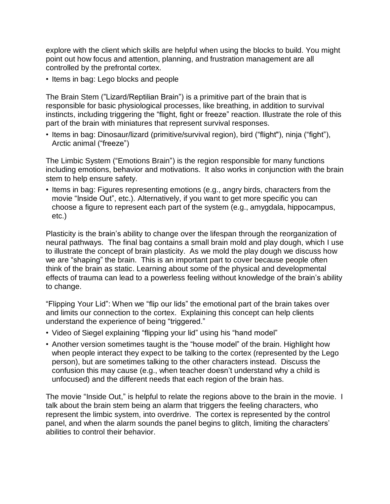explore with the client which skills are helpful when using the blocks to build. You might point out how focus and attention, planning, and frustration management are all controlled by the prefrontal cortex.

• Items in bag: Lego blocks and people

The Brain Stem ("Lizard/Reptilian Brain") is a primitive part of the brain that is responsible for basic physiological processes, like breathing, in addition to survival instincts, including triggering the "flight, fight or freeze" reaction. Illustrate the role of this part of the brain with miniatures that represent survival responses.

• Items in bag: Dinosaur/lizard (primitive/survival region), bird ("flight"), ninja ("fight"), Arctic animal ("freeze")

The Limbic System ("Emotions Brain") is the region responsible for many functions including emotions, behavior and motivations. It also works in conjunction with the brain stem to help ensure safety.

• Items in bag: Figures representing emotions (e.g., angry birds, characters from the movie "Inside Out", etc.). Alternatively, if you want to get more specific you can choose a figure to represent each part of the system (e.g., amygdala, hippocampus, etc.)

Plasticity is the brain's ability to change over the lifespan through the reorganization of neural pathways. The final bag contains a small brain mold and play dough, which I use to illustrate the concept of brain plasticity. As we mold the play dough we discuss how we are "shaping" the brain. This is an important part to cover because people often think of the brain as static. Learning about some of the physical and developmental effects of trauma can lead to a powerless feeling without knowledge of the brain's ability to change.

"Flipping Your Lid": When we "flip our lids" the emotional part of the brain takes over and limits our connection to the cortex. Explaining this concept can help clients understand the experience of being "triggered."

- Video of [Siegel](http://t.umblr.com/redirect?z=https%25253A%25252F%25252Fwww.youtube.com%25252Fwatch%25253Fv%25253DvESKrzvgA40%252526t%25253D163s&t=MTYxNTI3YzlhNTNlMGY3ZjMzODgwMTJhNTIzYjM1M2ExOTk3ZDdjMCx3eUhIY1p5QQ%25253D%25253D&b=t%25253AO5z00bBETWyt1qdkxYNMnQ&p=http%25253A%25252F%25252Fcreativesocialworker.tumblr.com%25252Fpost%25252F160155803273%25252Fbrain-psychoeducation-i-sometimes-like-to&m=1) explaining "flipping your lid" using his "hand model"
- Another version sometimes taught is the ["house](http://t.umblr.com/redirect?z=http%25253A%25252F%25252Fwww.heysigmund.com%25252Fhow-to-teach-kids-about-the-brain-laying-strong-foundations-for-emotional-intelligence-by-dr-hazel-harrison%25252F&t=YzEwN2U1YmQxNWU5NmVlMDQwMjlmMmNlOWZhMmVkYmFlZDJjYjgzYSx3eUhIY1p5QQ%25253D%25253D&b=t%25253AO5z00bBETWyt1qdkxYNMnQ&p=http%25253A%25252F%25252Fcreativesocialworker.tumblr.com%25252Fpost%25252F160155803273%25252Fbrain-psychoeducation-i-sometimes-like-to&m=1) model" of the brain. Highlight how when people interact they expect to be talking to the cortex (represented by the Lego person), but are sometimes talking to the other characters instead. Discuss the confusion this may cause (e.g., when teacher doesn't understand why a child is unfocused) and the different needs that each region of the brain has.

The movie "Inside Out," is helpful to relate the regions above to the brain in the movie. I talk about the brain stem being an alarm that triggers the feeling characters, who represent the limbic system, into overdrive. The cortex is represented by the control panel, and when the alarm sounds the panel begins to glitch, limiting the characters' abilities to control their behavior.